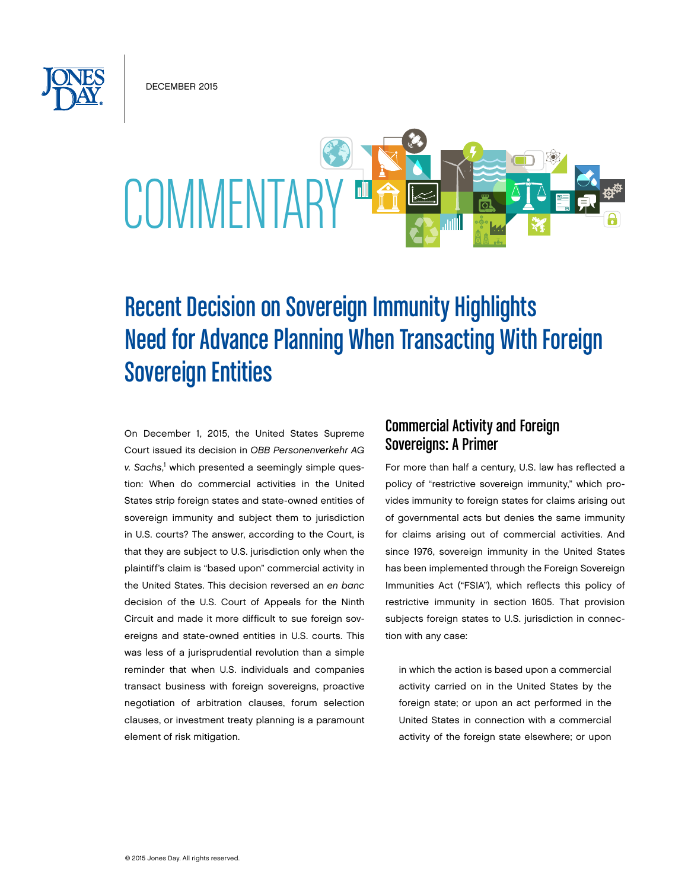DECEMBER 2015



# Recent Decision on Sovereign Immunity Highlights Need for Advance Planning When Transacting With Foreign Sovereign Entities

On December 1, 2015, the United States Supreme Court issued its decision in *OBB Personenverkehr AG*  v. Sachs,<sup>1</sup> which presented a seemingly simple question: When do commercial activities in the United States strip foreign states and state-owned entities of sovereign immunity and subject them to jurisdiction in U.S. courts? The answer, according to the Court, is that they are subject to U.S. jurisdiction only when the plaintiff's claim is "based upon" commercial activity in the United States. This decision reversed an *en banc* decision of the U.S. Court of Appeals for the Ninth Circuit and made it more difficult to sue foreign sovereigns and state-owned entities in U.S. courts. This was less of a jurisprudential revolution than a simple reminder that when U.S. individuals and companies transact business with foreign sovereigns, proactive negotiation of arbitration clauses, forum selection clauses, or investment treaty planning is a paramount element of risk mitigation.

## Commercial Activity and Foreign Sovereigns: A Primer

For more than half a century, U.S. law has reflected a policy of "restrictive sovereign immunity," which provides immunity to foreign states for claims arising out of governmental acts but denies the same immunity for claims arising out of commercial activities. And since 1976, sovereign immunity in the United States has been implemented through the Foreign Sovereign Immunities Act ("FSIA"), which reflects this policy of restrictive immunity in section 1605. That provision subjects foreign states to U.S. jurisdiction in connection with any case:

in which the action is based upon a commercial activity carried on in the United States by the foreign state; or upon an act performed in the United States in connection with a commercial activity of the foreign state elsewhere; or upon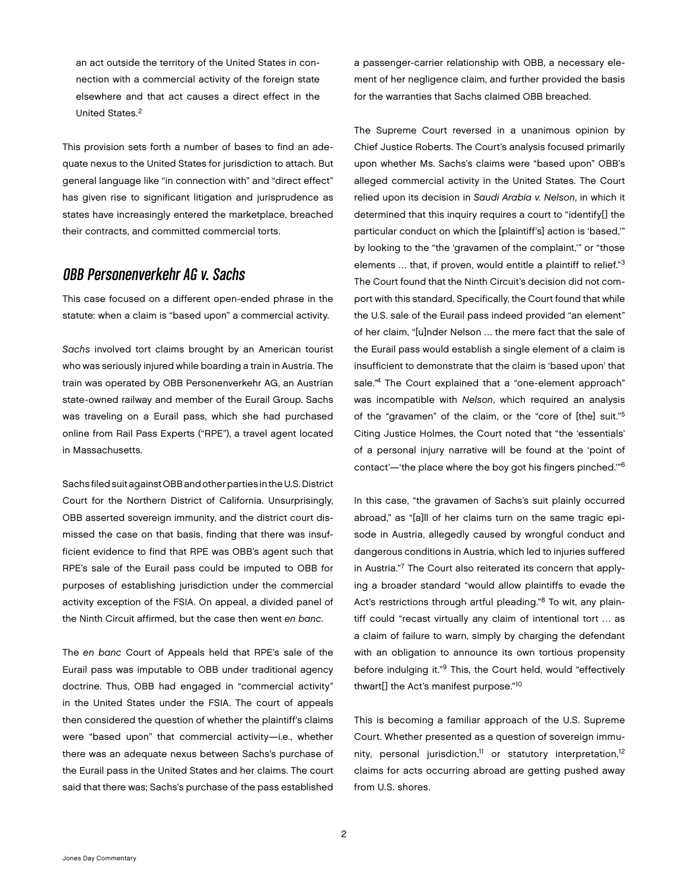an act outside the territory of the United States in connection with a commercial activity of the foreign state elsewhere and that act causes a direct effect in the United States.2

This provision sets forth a number of bases to find an adequate nexus to the United States for jurisdiction to attach. But general language like "in connection with" and "direct effect" has given rise to significant litigation and jurisprudence as states have increasingly entered the marketplace, breached their contracts, and committed commercial torts.

#### OBB Personenverkehr AG v. Sachs

This case focused on a different open-ended phrase in the statute: when a claim is "based upon" a commercial activity.

*Sachs* involved tort claims brought by an American tourist who was seriously injured while boarding a train in Austria. The train was operated by OBB Personenverkehr AG, an Austrian state-owned railway and member of the Eurail Group. Sachs was traveling on a Eurail pass, which she had purchased online from Rail Pass Experts ("RPE"), a travel agent located in Massachusetts.

Sachs filed suit against OBB and other parties in the U.S. District Court for the Northern District of California. Unsurprisingly, OBB asserted sovereign immunity, and the district court dismissed the case on that basis, finding that there was insufficient evidence to find that RPE was OBB's agent such that RPE's sale of the Eurail pass could be imputed to OBB for purposes of establishing jurisdiction under the commercial activity exception of the FSIA. On appeal, a divided panel of the Ninth Circuit affirmed, but the case then went *en banc*.

The *en banc* Court of Appeals held that RPE's sale of the Eurail pass was imputable to OBB under traditional agency doctrine. Thus, OBB had engaged in "commercial activity" in the United States under the FSIA. The court of appeals then considered the question of whether the plaintiff's claims were "based upon" that commercial activity—i.e., whether there was an adequate nexus between Sachs's purchase of the Eurail pass in the United States and her claims. The court said that there was; Sachs's purchase of the pass established

a passenger-carrier relationship with OBB, a necessary element of her negligence claim, and further provided the basis for the warranties that Sachs claimed OBB breached.

The Supreme Court reversed in a unanimous opinion by Chief Justice Roberts. The Court's analysis focused primarily upon whether Ms. Sachs's claims were "based upon" OBB's alleged commercial activity in the United States. The Court relied upon its decision in *Saudi Arabia v. Nelson*, in which it determined that this inquiry requires a court to "identify[] the particular conduct on which the [plaintiff's] action is 'based,'" by looking to the "the 'gravamen of the complaint,'" or "those elements ... that, if proven, would entitle a plaintiff to relief."3 The Court found that the Ninth Circuit's decision did not comport with this standard. Specifically, the Court found that while the U.S. sale of the Eurail pass indeed provided "an element" of her claim, "[u]nder Nelson … the mere fact that the sale of the Eurail pass would establish a single element of a claim is insufficient to demonstrate that the claim is 'based upon' that sale."<sup>4</sup> The Court explained that a "one-element approach" was incompatible with *Nelson*, which required an analysis of the "gravamen" of the claim, or the "core of [the] suit."5 Citing Justice Holmes, the Court noted that "the 'essentials' of a personal injury narrative will be found at the 'point of contact'—'the place where the boy got his fingers pinched.'"6

In this case, "the gravamen of Sachs's suit plainly occurred abroad," as "[a]ll of her claims turn on the same tragic episode in Austria, allegedly caused by wrongful conduct and dangerous conditions in Austria, which led to injuries suffered in Austria."7 The Court also reiterated its concern that applying a broader standard "would allow plaintiffs to evade the Act's restrictions through artful pleading."<sup>8</sup> To wit, any plaintiff could "recast virtually any claim of intentional tort … as a claim of failure to warn, simply by charging the defendant with an obligation to announce its own tortious propensity before indulging it."9 This, the Court held, would "effectively thwart[] the Act's manifest purpose."10

This is becoming a familiar approach of the U.S. Supreme Court. Whether presented as a question of sovereign immunity, personal jurisdiction,<sup>11</sup> or statutory interpretation,<sup>12</sup> claims for acts occurring abroad are getting pushed away from U.S. shores.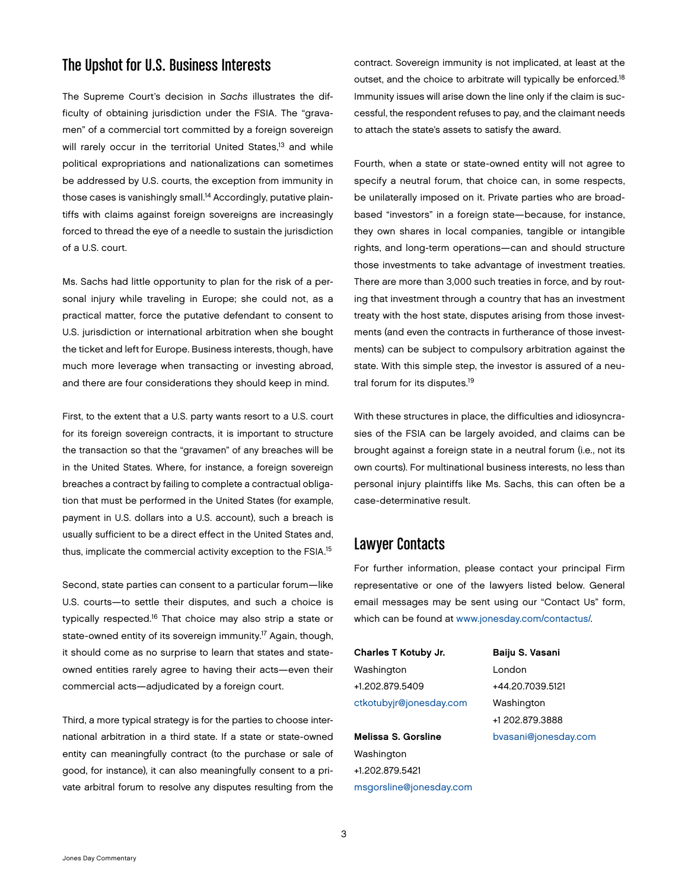### The Upshot for U.S. Business Interests

The Supreme Court's decision in *Sachs* illustrates the difficulty of obtaining jurisdiction under the FSIA. The "gravamen" of a commercial tort committed by a foreign sovereign will rarely occur in the territorial United States,<sup>13</sup> and while political expropriations and nationalizations can sometimes be addressed by U.S. courts, the exception from immunity in those cases is vanishingly small.<sup>14</sup> Accordingly, putative plaintiffs with claims against foreign sovereigns are increasingly forced to thread the eye of a needle to sustain the jurisdiction of a U.S. court.

Ms. Sachs had little opportunity to plan for the risk of a personal injury while traveling in Europe; she could not, as a practical matter, force the putative defendant to consent to U.S. jurisdiction or international arbitration when she bought the ticket and left for Europe. Business interests, though, have much more leverage when transacting or investing abroad, and there are four considerations they should keep in mind.

First, to the extent that a U.S. party wants resort to a U.S. court for its foreign sovereign contracts, it is important to structure the transaction so that the "gravamen" of any breaches will be in the United States. Where, for instance, a foreign sovereign breaches a contract by failing to complete a contractual obligation that must be performed in the United States (for example, payment in U.S. dollars into a U.S. account), such a breach is usually sufficient to be a direct effect in the United States and, thus, implicate the commercial activity exception to the FSIA.<sup>15</sup>

Second, state parties can consent to a particular forum—like U.S. courts—to settle their disputes, and such a choice is typically respected.16 That choice may also strip a state or state-owned entity of its sovereign immunity.<sup>17</sup> Again, though, it should come as no surprise to learn that states and stateowned entities rarely agree to having their acts—even their commercial acts—adjudicated by a foreign court.

Third, a more typical strategy is for the parties to choose international arbitration in a third state. If a state or state-owned entity can meaningfully contract (to the purchase or sale of good, for instance), it can also meaningfully consent to a private arbitral forum to resolve any disputes resulting from the

contract. Sovereign immunity is not implicated, at least at the outset, and the choice to arbitrate will typically be enforced.<sup>18</sup> Immunity issues will arise down the line only if the claim is successful, the respondent refuses to pay, and the claimant needs to attach the state's assets to satisfy the award.

Fourth, when a state or state-owned entity will not agree to specify a neutral forum, that choice can, in some respects, be unilaterally imposed on it. Private parties who are broadbased "investors" in a foreign state—because, for instance, they own shares in local companies, tangible or intangible rights, and long-term operations—can and should structure those investments to take advantage of investment treaties. There are more than 3,000 such treaties in force, and by routing that investment through a country that has an investment treaty with the host state, disputes arising from those investments (and even the contracts in furtherance of those investments) can be subject to compulsory arbitration against the state. With this simple step, the investor is assured of a neutral forum for its disputes.<sup>19</sup>

With these structures in place, the difficulties and idiosyncrasies of the FSIA can be largely avoided, and claims can be brought against a foreign state in a neutral forum (i.e., not its own courts). For multinational business interests, no less than personal injury plaintiffs like Ms. Sachs, this can often be a case-determinative result.

#### Lawyer Contacts

For further information, please contact your principal Firm representative or one of the lawyers listed below. General email messages may be sent using our "Contact Us" form, which can be found at [www.jonesday.com/contactus/.](http://www.jonesday.com/contactus/)

Charles T Kotuby Jr. Washington +1.202.879.5409 [ctkotubyjr@jonesday.com](mailto:ctkotubyjr@jonesday.com)

Melissa S. Gorsline Washington +1.202.879.5421 msgorsline@jonesday.com Baiju S. Vasani London +44.20.7039.5121 Washington +1 202.879.3888 [bvasani@jonesday.com](mailto:bvasani@jonesday.com)